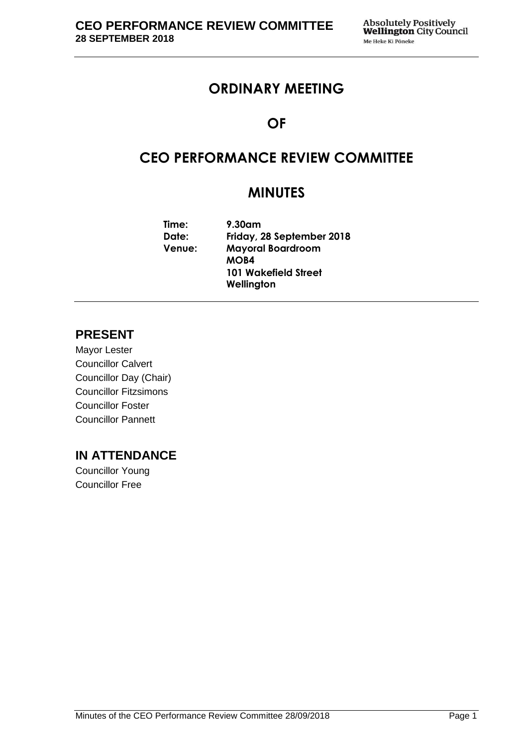# **ORDINARY MEETING**

# **OF**

# **CEO PERFORMANCE REVIEW COMMITTEE**

# **MINUTES**

**Time: 9.30am Date: Friday, 28 September 2018 Venue: Mayoral Boardroom MOB4 101 Wakefield Street Wellington**

## **PRESENT**

Mayor Lester Councillor Calvert Councillor Day (Chair) Councillor Fitzsimons Councillor Foster Councillor Pannett

### **IN ATTENDANCE**

Councillor Young Councillor Free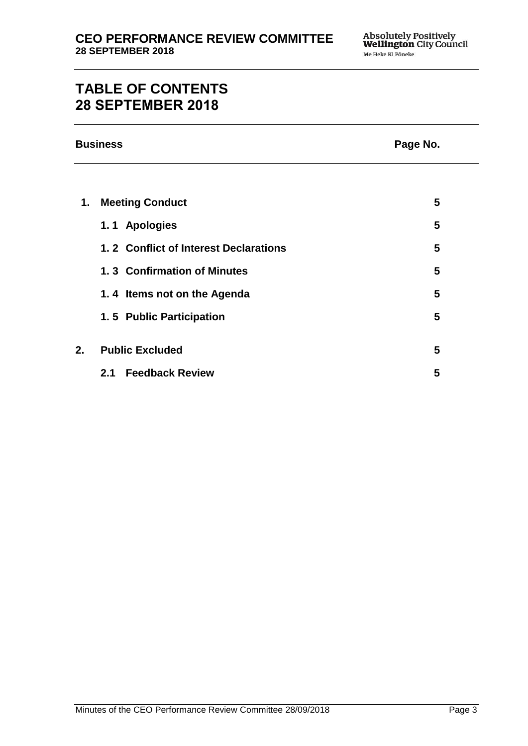# **TABLE OF CONTENTS 28 SEPTEMBER 2018**

| <b>Business</b> |                                       | Page No. |
|-----------------|---------------------------------------|----------|
|                 |                                       |          |
| 1.              | <b>Meeting Conduct</b>                | 5        |
|                 | 1.1 Apologies                         | 5        |
|                 | 1.2 Conflict of Interest Declarations | 5        |
|                 | 1.3 Confirmation of Minutes           | 5        |
|                 | 1.4 Items not on the Agenda           | 5        |
|                 | 1.5 Public Participation              | 5        |
|                 |                                       |          |

**2. Public Excluded [5](#page-4-5)**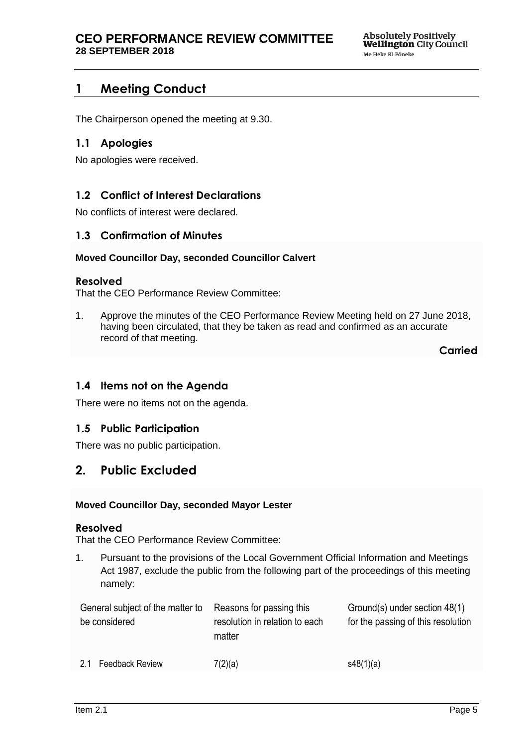## <span id="page-4-0"></span>**1 Meeting Conduct**

The Chairperson opened the meeting at 9.30.

### <span id="page-4-1"></span>**1.1 Apologies**

No apologies were received.

### <span id="page-4-2"></span>**1.2 Conflict of Interest Declarations**

No conflicts of interest were declared.

### <span id="page-4-3"></span>**1.3 Confirmation of Minutes**

#### **Moved Councillor Day, seconded Councillor Calvert**

#### **Resolved**

That the CEO Performance Review Committee:

1. Approve the minutes of the CEO Performance Review Meeting held on 27 June 2018, having been circulated, that they be taken as read and confirmed as an accurate record of that meeting.

**Carried**

### <span id="page-4-4"></span>**1.4 Items not on the Agenda**

There were no items not on the agenda.

### **1.5 Public Participation**

There was no public participation.

### <span id="page-4-5"></span>**2. Public Excluded**

#### **Moved Councillor Day, seconded Mayor Lester**

#### **Resolved**

That the CEO Performance Review Committee:

1. Pursuant to the provisions of the Local Government Official Information and Meetings Act 1987, exclude the public from the following part of the proceedings of this meeting namely:

<span id="page-4-6"></span>

| General subject of the matter to<br>be considered | Reasons for passing this<br>resolution in relation to each<br>matter | Ground(s) under section 48(1)<br>for the passing of this resolution |
|---------------------------------------------------|----------------------------------------------------------------------|---------------------------------------------------------------------|
| Feedback Review<br>2.1                            | 7(2)(a)                                                              | s48(1)(a)                                                           |